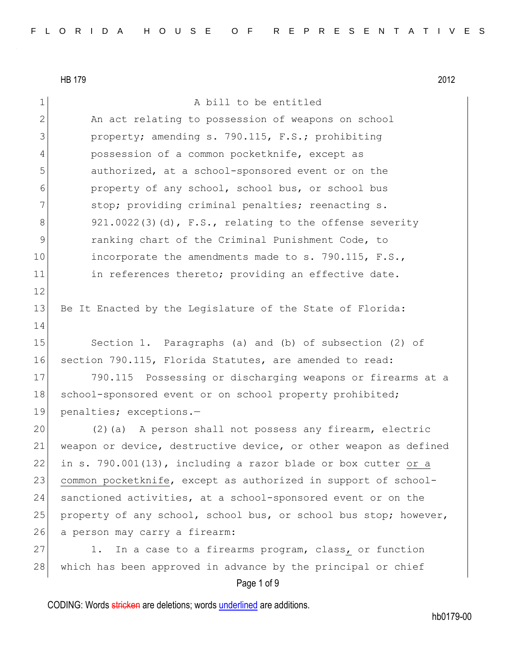HB 179 2012

Page 1 of 9 1 A bill to be entitled 2 An act relating to possession of weapons on school 3 **property;** amending s. 790.115, F.S.; prohibiting 4 possession of a common pocketknife, except as 5 5 5 5 authorized, at a school-sponsored event or on the 6 property of any school, school bus, or school bus 7 stop; providing criminal penalties; reenacting s.  $8$  921.0022(3)(d), F.S., relating to the offense severity 9 ranking chart of the Criminal Punishment Code, to 10 incorporate the amendments made to s. 790.115, F.S., 11 in references thereto; providing an effective date. 12 13 Be It Enacted by the Legislature of the State of Florida: 14 15 Section 1. Paragraphs (a) and (b) of subsection (2) of 16 section 790.115, Florida Statutes, are amended to read: 17 790.115 Possessing or discharging weapons or firearms at a 18 school-sponsored event or on school property prohibited; 19 penalties; exceptions.— 20 (2)(a) A person shall not possess any firearm, electric 21 weapon or device, destructive device, or other weapon as defined 22 in s. 790.001(13), including a razor blade or box cutter or a 23 common pocketknife, except as authorized in support of school-24 sanctioned activities, at a school-sponsored event or on the 25 property of any school, school bus, or school bus stop; however, 26 a person may carry a firearm: 27 1. In a case to a firearms program, class, or function 28 which has been approved in advance by the principal or chief

CODING: Words stricken are deletions; words underlined are additions.

hb0179-00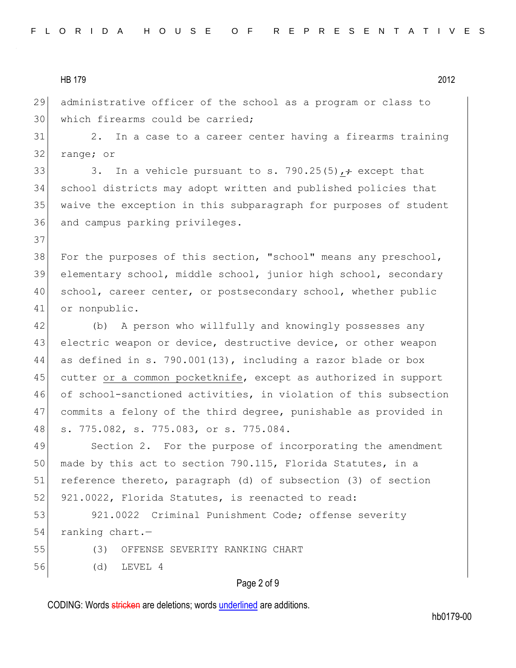HB 179 2012

29 administrative officer of the school as a program or class to 30 which firearms could be carried;

31 2. In a case to a career center having a firearms training 32 range; or

33 3. In a vehicle pursuant to s. 790.25(5),  $\div$  except that 34 school districts may adopt written and published policies that 35 waive the exception in this subparagraph for purposes of student 36 and campus parking privileges.

38 For the purposes of this section, "school" means any preschool, 39 elementary school, middle school, junior high school, secondary 40 school, career center, or postsecondary school, whether public 41 or nonpublic.

42 (b) A person who willfully and knowingly possesses any 43 electric weapon or device, destructive device, or other weapon as defined in s. 790.001(13), including a razor blade or box cutter or a common pocketknife, except as authorized in support of school-sanctioned activities, in violation of this subsection commits a felony of the third degree, punishable as provided in s. 775.082, s. 775.083, or s. 775.084.

49 Section 2. For the purpose of incorporating the amendment 50 made by this act to section 790.115, Florida Statutes, in a 51 reference thereto, paragraph (d) of subsection (3) of section 52 921.0022, Florida Statutes, is reenacted to read:

53 921.0022 Criminal Punishment Code; offense severity 54 ranking chart.-

37

55 (3) OFFENSE SEVERITY RANKING CHART

56 (d) LEVEL 4

### Page 2 of 9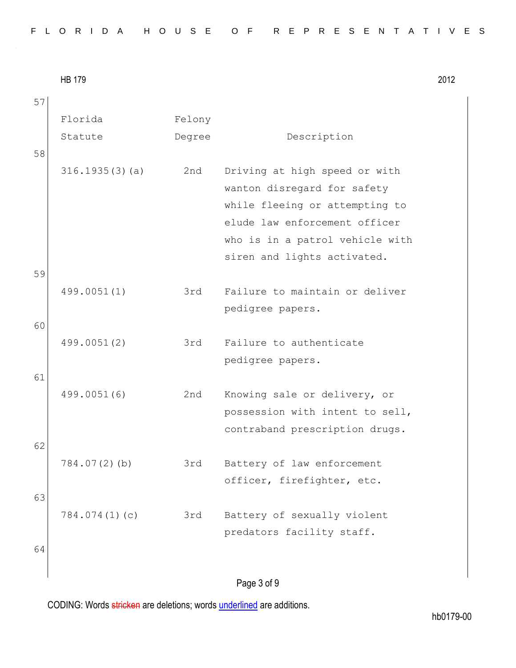| FLORIDA HOUSE OF REPRESENTATIVES |  |
|----------------------------------|--|
|----------------------------------|--|

HB 179 2012

Page 3 of 9 57 Florida Statute Felony Degree Description 58 316.1935(3)(a) 2nd Driving at high speed or with wanton disregard for safety while fleeing or attempting to elude law enforcement officer who is in a patrol vehicle with siren and lights activated. 59 499.0051(1) 3rd Failure to maintain or deliver pedigree papers. 60 499.0051(2) 3rd Failure to authenticate pedigree papers. 61 499.0051(6) 2nd Knowing sale or delivery, or possession with intent to sell, contraband prescription drugs. 62 784.07(2)(b) 3rd Battery of law enforcement officer, firefighter, etc. 63 784.074(1)(c) 3rd Battery of sexually violent predators facility staff. 64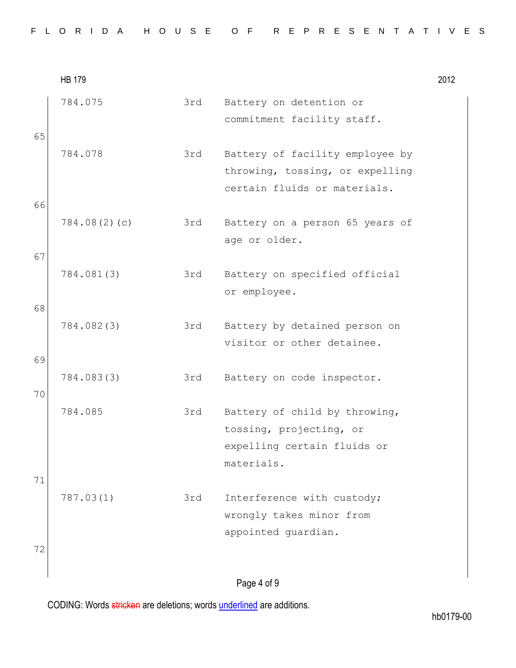|  |  |  | FLORIDA HOUSE OF REPRESENTATIVES |  |  |  |  |  |  |  |  |  |  |  |  |  |
|--|--|--|----------------------------------|--|--|--|--|--|--|--|--|--|--|--|--|--|
|  |  |  |                                  |  |  |  |  |  |  |  |  |  |  |  |  |  |

|          | <b>HB 179</b> |     |                                                                                                       | 2012 |
|----------|---------------|-----|-------------------------------------------------------------------------------------------------------|------|
| 65       | 784.075       | 3rd | Battery on detention or<br>commitment facility staff.                                                 |      |
|          | 784.078       | 3rd | Battery of facility employee by<br>throwing, tossing, or expelling<br>certain fluids or materials.    |      |
| 66       | 784.08(2)(c)  | 3rd | Battery on a person 65 years of<br>age or older.                                                      |      |
| 67<br>68 | 784.081(3)    | 3rd | Battery on specified official<br>or employee.                                                         |      |
| 69       | 784.082(3)    | 3rd | Battery by detained person on<br>visitor or other detainee.                                           |      |
| 70       | 784.083(3)    | 3rd | Battery on code inspector.                                                                            |      |
| 71       | 784.085       | 3rd | Battery of child by throwing,<br>tossing, projecting, or<br>expelling certain fluids or<br>materials. |      |
| 72       | 787.03(1)     | 3rd | Interference with custody;<br>wrongly takes minor from<br>appointed quardian.                         |      |
|          |               |     | Dao A of Q                                                                                            |      |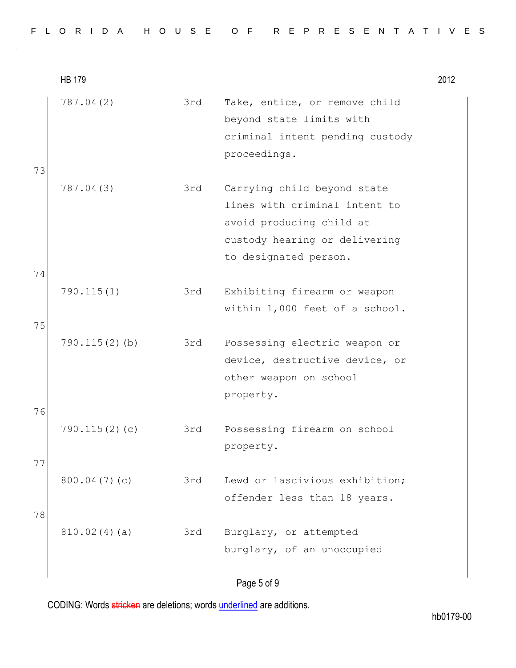|    | <b>HB 179</b>    |     |                                                                                                                                                    | 2012 |
|----|------------------|-----|----------------------------------------------------------------------------------------------------------------------------------------------------|------|
| 73 | 787.04(2)        | 3rd | Take, entice, or remove child<br>beyond state limits with<br>criminal intent pending custody<br>proceedings.                                       |      |
| 74 | 787.04(3)        | 3rd | Carrying child beyond state<br>lines with criminal intent to<br>avoid producing child at<br>custody hearing or delivering<br>to designated person. |      |
| 75 | 790.115(1)       | 3rd | Exhibiting firearm or weapon<br>within 1,000 feet of a school.                                                                                     |      |
| 76 | $790.115(2)$ (b) | 3rd | Possessing electric weapon or<br>device, destructive device, or<br>other weapon on school<br>property.                                             |      |
| 77 | 790.115(2)(c)    | 3rd | Possessing firearm on school<br>property.                                                                                                          |      |
| 78 | 800.04(7)(c)     | 3rd | Lewd or lascivious exhibition;<br>offender less than 18 years.                                                                                     |      |
|    | 810.02(4)(a)     | 3rd | Burglary, or attempted<br>burglary, of an unoccupied                                                                                               |      |
|    |                  |     |                                                                                                                                                    |      |

### Page 5 of 9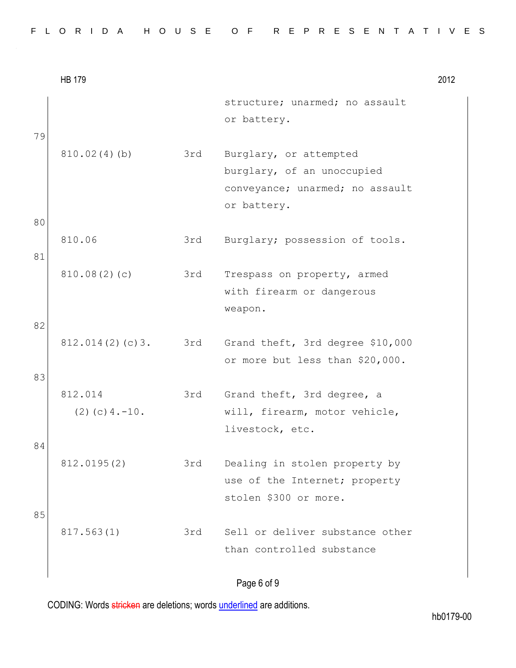| structure; unarmed; no assault<br>or battery.<br>79<br>810.02(4)(b)<br>3rd<br>Burglary, or attempted                        |  |
|-----------------------------------------------------------------------------------------------------------------------------|--|
|                                                                                                                             |  |
| burglary, of an unoccupied<br>conveyance; unarmed; no assault<br>or battery.<br>80                                          |  |
| 810.06<br>Burglary; possession of tools.<br>3rd<br>81                                                                       |  |
| 810.08(2)(c)<br>3rd<br>Trespass on property, armed<br>with firearm or dangerous<br>weapon.                                  |  |
| 82<br>812.014(2)(c)3.<br>3rd<br>Grand theft, 3rd degree \$10,000<br>or more but less than \$20,000.<br>83                   |  |
| 812.014<br>3rd<br>Grand theft, 3rd degree, a<br>$(2)$ (c) 4. -10.<br>will, firearm, motor vehicle,<br>livestock, etc.<br>84 |  |
| 812.0195(2)<br>3rd<br>Dealing in stolen property by<br>use of the Internet; property<br>stolen \$300 or more.               |  |
| 85<br>Sell or deliver substance other<br>817.563(1)<br>3rd<br>than controlled substance                                     |  |

# Page 6 of 9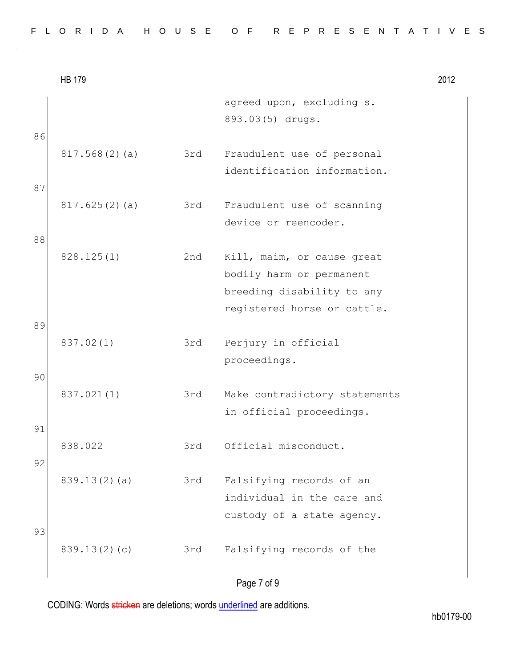|  |  |  | FLORIDA HOUSE OF REPRESENTATIVES |  |  |  |  |  |  |  |  |  |  |  |  |  |
|--|--|--|----------------------------------|--|--|--|--|--|--|--|--|--|--|--|--|--|
|  |  |  |                                  |  |  |  |  |  |  |  |  |  |  |  |  |  |

|          | <b>HB 179</b> |     |                                                                                                                     | 2012 |
|----------|---------------|-----|---------------------------------------------------------------------------------------------------------------------|------|
|          |               |     | agreed upon, excluding s.<br>893.03(5) drugs.                                                                       |      |
| 86       | 817.568(2)(a) | 3rd | Fraudulent use of personal<br>identification information.                                                           |      |
| 87       | 817.625(2)(a) | 3rd | Fraudulent use of scanning<br>device or reencoder.                                                                  |      |
| 88       | 828.125(1)    | 2nd | Kill, maim, or cause great<br>bodily harm or permanent<br>breeding disability to any<br>registered horse or cattle. |      |
| 89       | 837.02(1)     | 3rd | Perjury in official<br>proceedings.                                                                                 |      |
| 90       | 837.021(1)    | 3rd | Make contradictory statements<br>in official proceedings.                                                           |      |
| 91<br>92 | 838.022       | 3rd | Official misconduct.                                                                                                |      |
|          | 839.13(2)(a)  | 3rd | Falsifying records of an<br>individual in the care and<br>custody of a state agency.                                |      |
| 93       | 839.13(2)(c)  | 3rd | Falsifying records of the                                                                                           |      |

# Page 7 of 9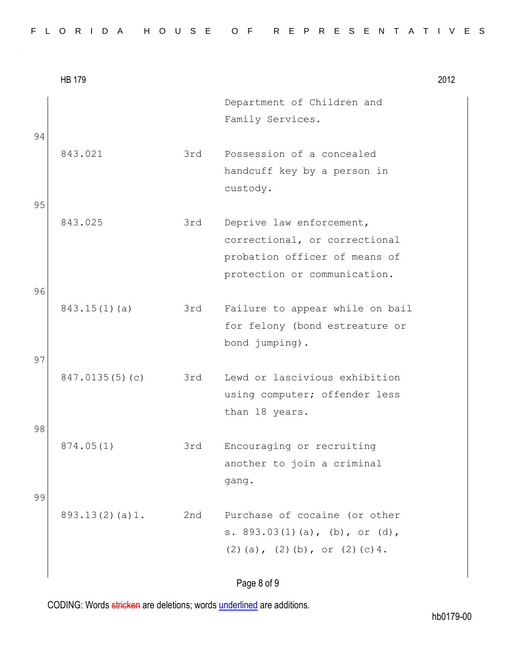| Department of Children and<br>Family Services.<br>94<br>843.021<br>3rd<br>Possession of a concealed<br>handcuff key by a person in<br>custody.<br>95<br>843.025<br>3rd<br>Deprive law enforcement,<br>correctional, or correctional<br>probation officer of means of<br>protection or communication.<br>96<br>$843.15(1)$ (a)<br>Failure to appear while on bail<br>3rd<br>for felony (bond estreature or<br>bond jumping).<br>97<br>847.0135(5)(c)<br>3rd<br>Lewd or lascivious exhibition<br>using computer; offender less |  |
|------------------------------------------------------------------------------------------------------------------------------------------------------------------------------------------------------------------------------------------------------------------------------------------------------------------------------------------------------------------------------------------------------------------------------------------------------------------------------------------------------------------------------|--|
|                                                                                                                                                                                                                                                                                                                                                                                                                                                                                                                              |  |
|                                                                                                                                                                                                                                                                                                                                                                                                                                                                                                                              |  |
|                                                                                                                                                                                                                                                                                                                                                                                                                                                                                                                              |  |
|                                                                                                                                                                                                                                                                                                                                                                                                                                                                                                                              |  |
| than 18 years.                                                                                                                                                                                                                                                                                                                                                                                                                                                                                                               |  |
| 98<br>874.05(1)<br>3rd<br>Encouraging or recruiting<br>another to join a criminal<br>gang.                                                                                                                                                                                                                                                                                                                                                                                                                                   |  |
| 99<br>893.13(2)(a)1.<br>Purchase of cocaine (or other<br>2nd<br>s. 893.03(1)(a), (b), or (d),<br>$(2)$ (a), $(2)$ (b), or $(2)$ (c) 4.                                                                                                                                                                                                                                                                                                                                                                                       |  |

# Page 8 of 9